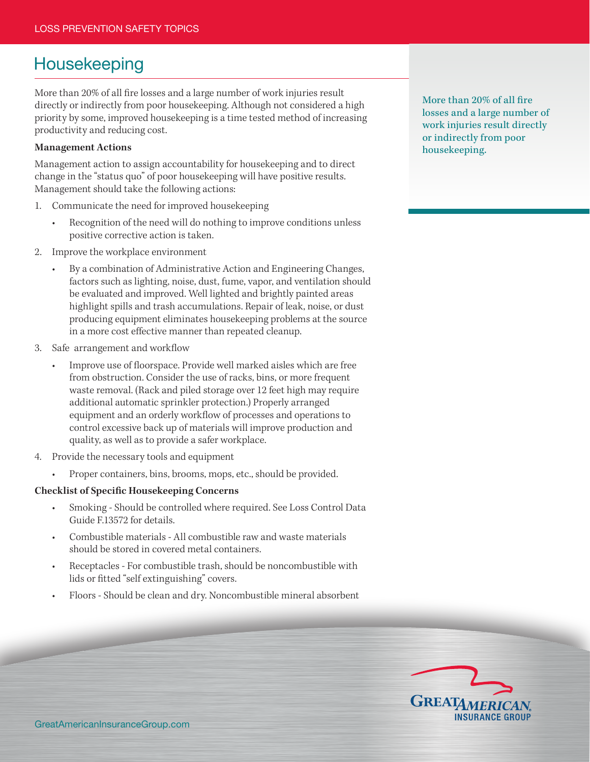## Housekeeping

More than 20% of all fire losses and a large number of work injuries result directly or indirectly from poor housekeeping. Although not considered a high priority by some, improved housekeeping is a time tested method of increasing productivity and reducing cost.

## **Management Actions**

Management action to assign accountability for housekeeping and to direct change in the "status quo" of poor housekeeping will have positive results. Management should take the following actions:

- 1. Communicate the need for improved housekeeping
	- Recognition of the need will do nothing to improve conditions unless positive corrective action is taken.
- 2. Improve the workplace environment
	- By a combination of Administrative Action and Engineering Changes, factors such as lighting, noise, dust, fume, vapor, and ventilation should be evaluated and improved. Well lighted and brightly painted areas highlight spills and trash accumulations. Repair of leak, noise, or dust producing equipment eliminates housekeeping problems at the source in a more cost effective manner than repeated cleanup.
- 3. Safe arrangement and workflow
	- Improve use of floorspace. Provide well marked aisles which are free from obstruction. Consider the use of racks, bins, or more frequent waste removal. (Rack and piled storage over 12 feet high may require additional automatic sprinkler protection.) Properly arranged equipment and an orderly workflow of processes and operations to control excessive back up of materials will improve production and quality, as well as to provide a safer workplace.
- 4. Provide the necessary tools and equipment
	- Proper containers, bins, brooms, mops, etc., should be provided.

## **Checklist of Specific Housekeeping Concerns**

- Smoking Should be controlled where required. See Loss Control Data Guide F.13572 for details.
- Combustible materials All combustible raw and waste materials should be stored in covered metal containers.
- Receptacles For combustible trash, should be noncombustible with lids or fitted "self extinguishing" covers.
- Floors Should be clean and dry. Noncombustible mineral absorbent

More than 20% of all fire losses and a large number of work injuries result directly or indirectly from poor housekeeping.